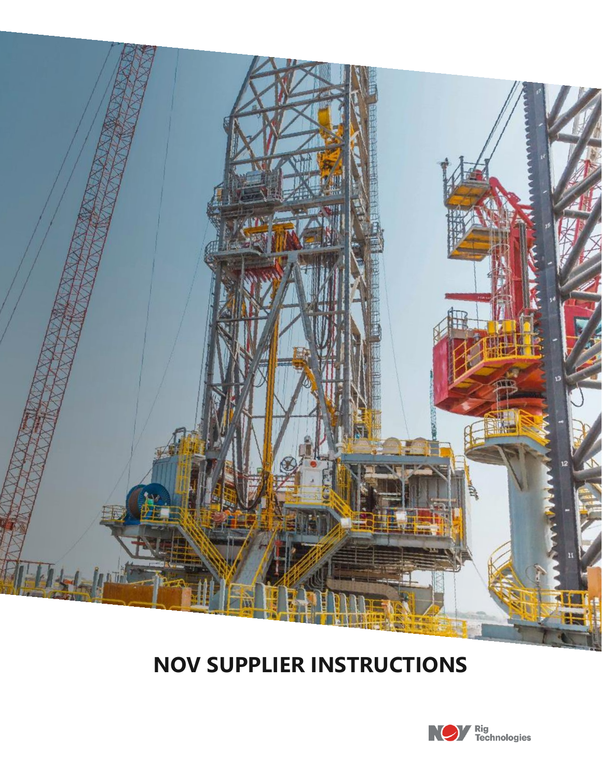

# **NOV SUPPLIER INSTRUCTIONS**

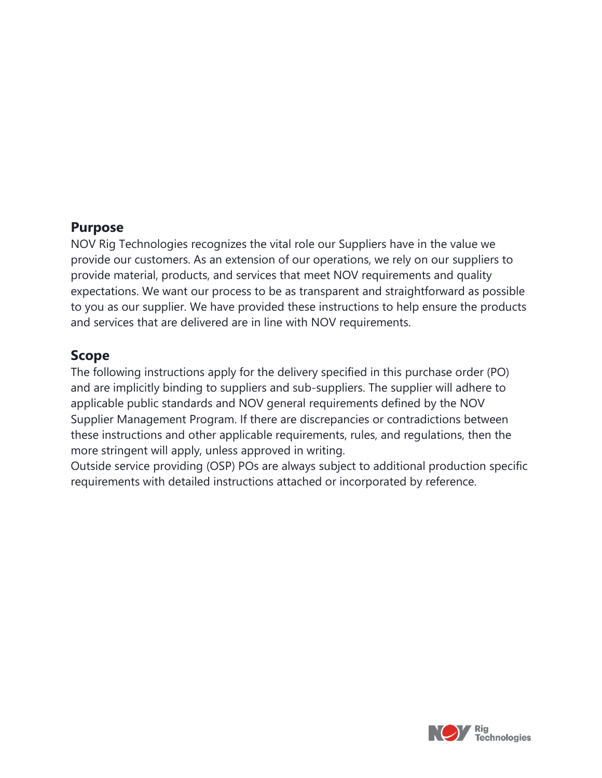#### **Purpose**

NOV Rig Technologies recognizes the vital role our Suppliers have in the value we provide our customers. As an extension of our operations, we rely on our suppliers to provide material, products, and services that meet NOV requirements and quality expectations. We want our process to be as transparent and straightforward as possible to you as our supplier. We have provided these instructions to help ensure the products and services that are delivered are in line with NOV requirements.

#### **Scope**

The following instructions apply for the delivery specified in this purchase order (PO) and are implicitly binding to suppliers and sub-suppliers. The supplier will adhere to applicable public standards and NOV general requirements defined by the NOV Supplier Management Program. If there are discrepancies or contradictions between these instructions and other applicable requirements, rules, and regulations, then the more stringent will apply, unless approved in writing.

Outside service providing (OSP) POs are always subject to additional production specific requirements with detailed instructions attached or incorporated by reference.

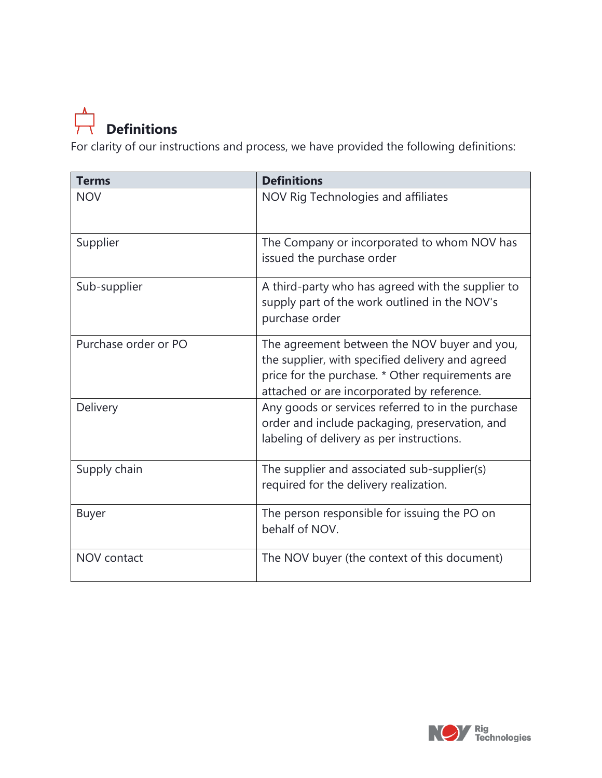

For clarity of our instructions and process, we have provided the following definitions:

| <b>Terms</b>         | <b>Definitions</b>                                                                                                                                                                                 |
|----------------------|----------------------------------------------------------------------------------------------------------------------------------------------------------------------------------------------------|
| <b>NOV</b>           | NOV Rig Technologies and affiliates                                                                                                                                                                |
| Supplier             | The Company or incorporated to whom NOV has<br>issued the purchase order                                                                                                                           |
| Sub-supplier         | A third-party who has agreed with the supplier to<br>supply part of the work outlined in the NOV's<br>purchase order                                                                               |
| Purchase order or PO | The agreement between the NOV buyer and you,<br>the supplier, with specified delivery and agreed<br>price for the purchase. * Other requirements are<br>attached or are incorporated by reference. |
| Delivery             | Any goods or services referred to in the purchase<br>order and include packaging, preservation, and<br>labeling of delivery as per instructions.                                                   |
| Supply chain         | The supplier and associated sub-supplier(s)<br>required for the delivery realization.                                                                                                              |
| <b>Buyer</b>         | The person responsible for issuing the PO on<br>behalf of NOV.                                                                                                                                     |
| NOV contact          | The NOV buyer (the context of this document)                                                                                                                                                       |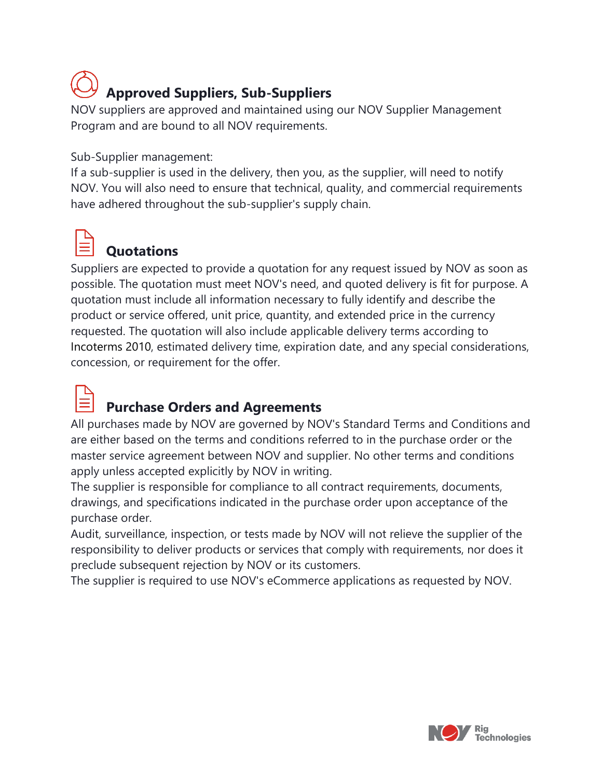# **Approved Suppliers, Sub-Suppliers**

NOV suppliers are approved and maintained using our NOV Supplier Management Program and are bound to all NOV requirements.

Sub-Supplier management:

If a sub-supplier is used in the delivery, then you, as the supplier, will need to notify NOV. You will also need to ensure that technical, quality, and commercial requirements have adhered throughout the sub-supplier's supply chain.



## **Quotations**

Suppliers are expected to provide a quotation for any request issued by NOV as soon as possible. The quotation must meet NOV's need, and quoted delivery is fit for purpose. A quotation must include all information necessary to fully identify and describe the product or service offered, unit price, quantity, and extended price in the currency requested. The quotation will also include applicable delivery terms according to Incoterms 2010, estimated delivery time, expiration date, and any special considerations, concession, or requirement for the offer.



### **Purchase Orders and Agreements**

All purchases made by NOV are governed by NOV's Standard Terms and Conditions and are either based on the terms and conditions referred to in the purchase order or the master service agreement between NOV and supplier. No other terms and conditions apply unless accepted explicitly by NOV in writing.

The supplier is responsible for compliance to all contract requirements, documents, drawings, and specifications indicated in the purchase order upon acceptance of the purchase order.

Audit, surveillance, inspection, or tests made by NOV will not relieve the supplier of the responsibility to deliver products or services that comply with requirements, nor does it preclude subsequent rejection by NOV or its customers.

The supplier is required to use NOV's eCommerce applications as requested by NOV.

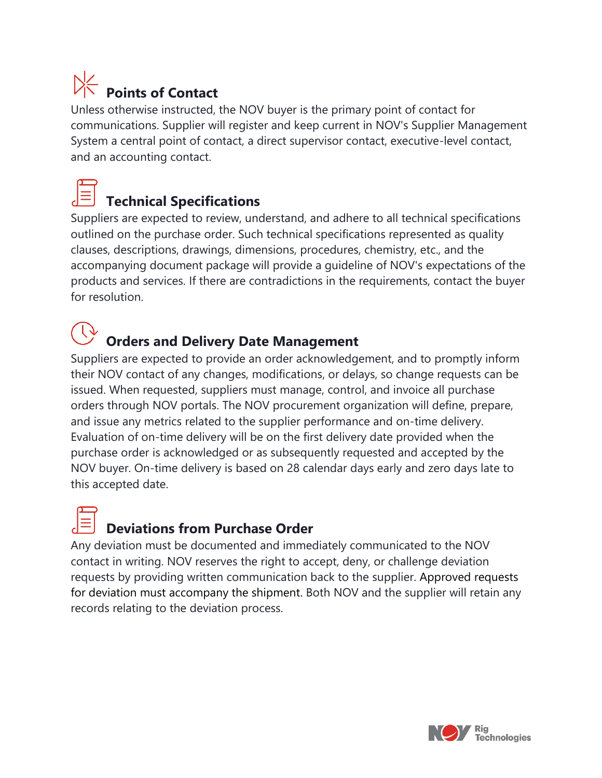# **Points of Contact**

Unless otherwise instructed, the NOV buyer is the primary point of contact for communications. Supplier will register and keep current in NOV's Supplier Management System a central point of contact, a direct supervisor contact, executive-level contact, and an accounting contact.

## **Technical Specifications**

Suppliers are expected to review, understand, and adhere to all technical specifications outlined on the purchase order. Such technical specifications represented as quality clauses, descriptions, drawings, dimensions, procedures, chemistry, etc., and the accompanying document package will provide a guideline of NOV's expectations of the products and services. If there are contradictions in the requirements, contact the buyer for resolution.

## **Orders and Delivery Date Management**

Suppliers are expected to provide an order acknowledgement, and to promptly inform their NOV contact of any changes, modifications, or delays, so change requests can be issued. When requested, suppliers must manage, control, and invoice all purchase orders through NOV portals. The NOV procurement organization will define, prepare, and issue any metrics related to the supplier performance and on-time delivery. Evaluation of on-time delivery will be on the first delivery date provided when the purchase order is acknowledged or as subsequently requested and accepted by the NOV buyer. On-time delivery is based on 28 calendar days early and zero days late to this accepted date.

### **Deviations from Purchase Order**

Any deviation must be documented and immediately communicated to the NOV contact in writing. NOV reserves the right to accept, deny, or challenge deviation requests by providing written communication back to the supplier. Approved requests for deviation must accompany the shipment. Both NOV and the supplier will retain any records relating to the deviation process.

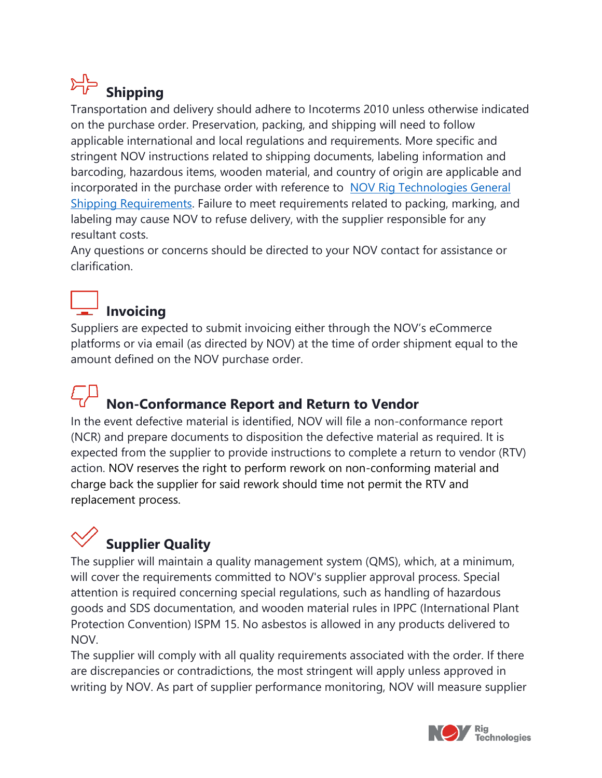# **Shipping**

Transportation and delivery should adhere to Incoterms 2010 unless otherwise indicated on the purchase order. Preservation, packing, and shipping will need to follow applicable international and local regulations and requirements. More specific and stringent NOV instructions related to shipping documents, labeling information and barcoding, hazardous items, wooden material, and country of origin are applicable and incorporated in the purchase order with reference to [NOV Rig Technologies General](https://www.nov.com/-/media/nov/files/about/rt-supply-chain-resources/procurement/nov-rig-technologies-general-shipping-requirements.pdf)  [Shipping Requirements.](https://www.nov.com/-/media/nov/files/about/rt-supply-chain-resources/procurement/nov-rig-technologies-general-shipping-requirements.pdf) Failure to meet requirements related to packing, marking, and labeling may cause NOV to refuse delivery, with the supplier responsible for any resultant costs.

Any questions or concerns should be directed to your NOV contact for assistance or clarification.

### **Invoicing**

Suppliers are expected to submit invoicing either through the NOV's eCommerce platforms or via email (as directed by NOV) at the time of order shipment equal to the amount defined on the NOV purchase order.

# **Non-Conformance Report and Return to Vendor**

In the event defective material is identified, NOV will file a non-conformance report (NCR) and prepare documents to disposition the defective material as required. It is expected from the supplier to provide instructions to complete a return to vendor (RTV) action. NOV reserves the right to perform rework on non-conforming material and charge back the supplier for said rework should time not permit the RTV and replacement process.

# **Supplier Quality**

The supplier will maintain a quality management system (QMS), which, at a minimum, will cover the requirements committed to NOV's supplier approval process. Special attention is required concerning special regulations, such as handling of hazardous goods and SDS documentation, and wooden material rules in IPPC (International Plant Protection Convention) ISPM 15. No asbestos is allowed in any products delivered to NOV.

The supplier will comply with all quality requirements associated with the order. If there are discrepancies or contradictions, the most stringent will apply unless approved in writing by NOV. As part of supplier performance monitoring, NOV will measure supplier